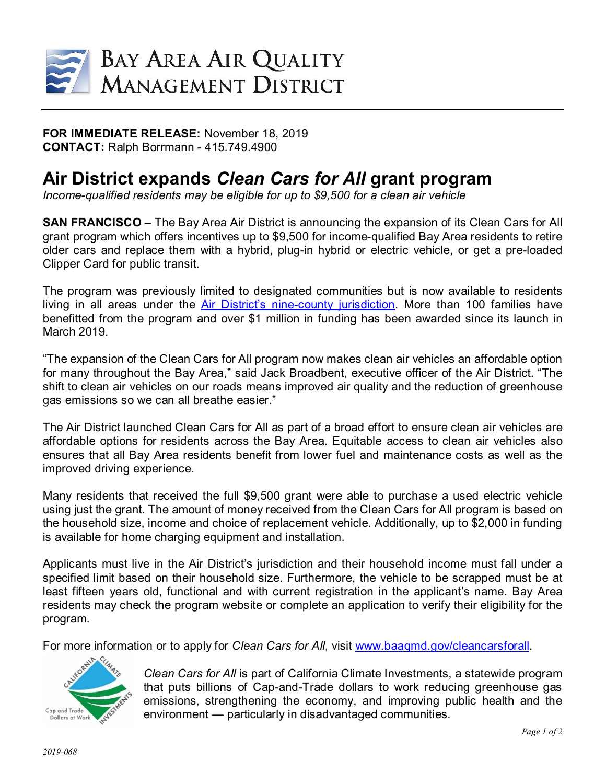

**FOR IMMEDIATE RELEASE:** November 18, 2019 **CONTACT:** Ralph Borrmann - 415.749.4900

## **Air District expands** *Clean Cars for All* **grant program**

*Income-qualified residents may be eligible for up to \$9,500 for a clean air vehicle*

**SAN FRANCISCO** – The Bay Area Air District is announcing the expansion of its Clean Cars for All grant program which offers incentives up to \$9,500 for income-qualified Bay Area residents to retire older cars and replace them with a hybrid, plug-in hybrid or electric vehicle, or get a pre-loaded Clipper Card for public transit.

The program was previously limited to designated communities but is now available to residents living in all areas under the [Air District's nine-county jurisdiction.](http://www.baaqmd.gov/about-the-air-district) More than 100 families have benefitted from the program and over \$1 million in funding has been awarded since its launch in March 2019.

"The expansion of the Clean Cars for All program now makes clean air vehicles an affordable option for many throughout the Bay Area," said Jack Broadbent, executive officer of the Air District. "The shift to clean air vehicles on our roads means improved air quality and the reduction of greenhouse gas emissions so we can all breathe easier."

The Air District launched Clean Cars for All as part of a broad effort to ensure clean air vehicles are affordable options for residents across the Bay Area. Equitable access to clean air vehicles also ensures that all Bay Area residents benefit from lower fuel and maintenance costs as well as the improved driving experience.

Many residents that received the full \$9,500 grant were able to purchase a used electric vehicle using just the grant. The amount of money received from the Clean Cars for All program is based on the household size, income and choice of replacement vehicle. Additionally, up to \$2,000 in funding is available for home charging equipment and installation.

Applicants must live in the Air District's jurisdiction and their household income must fall under a specified limit based on their household size. Furthermore, the vehicle to be scrapped must be at least fifteen years old, functional and with current registration in the applicant's name. Bay Area residents may check the program website or complete an application to verify their eligibility for the program.

For more information or to apply for *Clean Cars for All*, visit [www.baaqmd.gov/cleancarsforall.](http://www.baaqmd.gov/cleancarsforall)



*Clean Cars for All* is part of California Climate Investments, a statewide program that puts billions of Cap-and-Trade dollars to work reducing greenhouse gas emissions, strengthening the economy, and improving public health and the environment — particularly in disadvantaged communities.